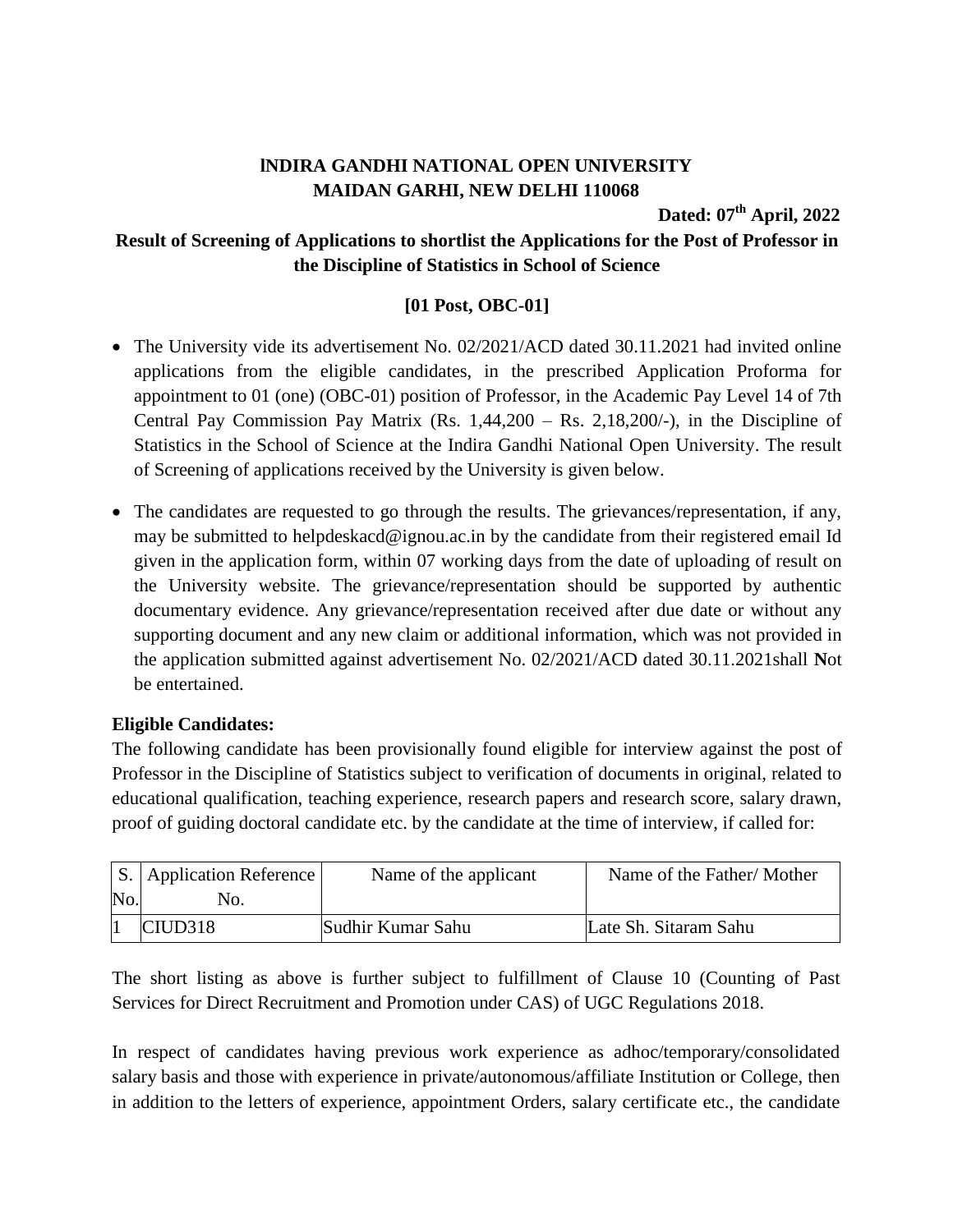## **lNDIRA GANDHI NATIONAL OPEN UNIVERSITY MAIDAN GARHI, NEW DELHI 110068**

**Dated: 07 th April, 2022**

## **Result of Screening of Applications to shortlist the Applications for the Post of Professor in the Discipline of Statistics in School of Science**

## **[01 Post, OBC-01]**

- The University vide its advertisement No. 02/2021/ACD dated 30.11.2021 had invited online applications from the eligible candidates, in the prescribed Application Proforma for appointment to 01 (one) (OBC-01) position of Professor, in the Academic Pay Level 14 of 7th Central Pay Commission Pay Matrix  $(Rs. 1,44,200 - Rs. 2,18,200/$ -), in the Discipline of Statistics in the School of Science at the Indira Gandhi National Open University. The result of Screening of applications received by the University is given below.
- The candidates are requested to go through the results. The grievances/representation, if any, may be submitted to helpdeskacd@ignou.ac.in by the candidate from their registered email Id given in the application form, within 07 working days from the date of uploading of result on the University website. The grievance/representation should be supported by authentic documentary evidence. Any grievance/representation received after due date or without any supporting document and any new claim or additional information, which was not provided in the application submitted against advertisement No. 02/2021/ACD dated 30.11.2021shall **N**ot be entertained.

## **Eligible Candidates:**

The following candidate has been provisionally found eligible for interview against the post of Professor in the Discipline of Statistics subject to verification of documents in original, related to educational qualification, teaching experience, research papers and research score, salary drawn, proof of guiding doctoral candidate etc. by the candidate at the time of interview, if called for:

|                | $ S. $ Application Reference | Name of the applicant | Name of the Father/Mother |
|----------------|------------------------------|-----------------------|---------------------------|
| N <sub>o</sub> | NO.                          |                       |                           |
|                | CIUD318                      | Sudhir Kumar Sahu     | Late Sh. Sitaram Sahu     |

The short listing as above is further subject to fulfillment of Clause 10 (Counting of Past Services for Direct Recruitment and Promotion under CAS) of UGC Regulations 2018.

In respect of candidates having previous work experience as adhoc/temporary/consolidated salary basis and those with experience in private/autonomous/affiliate Institution or College, then in addition to the letters of experience, appointment Orders, salary certificate etc., the candidate